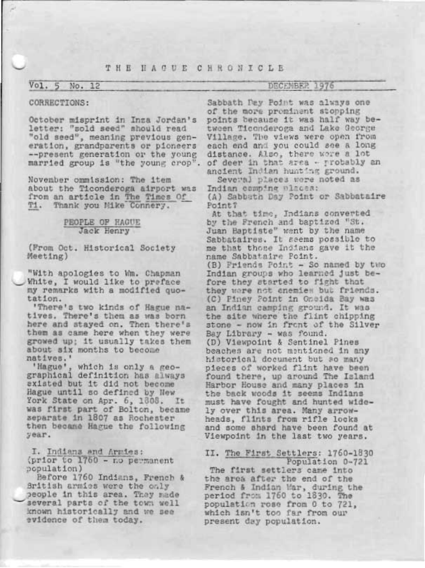# THE HACUE CHRONICLE

## Vol. 5 No. 12

## DECEMBER 1976

#### CORRECTIONS:

October misprint in Inza Jordan's letter: "sold seed" should read "old seed", meaning previous generation, grandparents or pioneers --present generation or the young

November ommission: The item about the Ticonderoga airport was from an article in The Times Of Ti. Thank you Mike Connery.

### PEOPLE OF HAGUE Jack Henry

(From Oct. Historical Society Meeting)

"With apologies to Wm. Chapman White, I would like to preface my remarks with a modified quotation.

'There's two kinds of Hague natives. There's them as was born here and stayed on. Then there's them as came here when they were growed up: it usually takes them about six months to become natives.'

'Hague', which is only a geographical definition has always existed but it did not become Hague until so defined by New York State on Apr. 6, 1808. It was first part of Bolton, became separate in 1807 as Rochester then became Hague the following year.

I. Indiana and Armies: (prior to 1760 - no permanent population)

Before 1760 Indians, French & Sritish armies were the only people in this area. They made several parts of the town well known historically and we see evidence of them today.

Sabbath Pay Point was always one of the more prominent stopping points because it was half way between Ticonderoga and Lake George Village. The views were open from each end and you could see a long distance. Also, there wore a lot married group is "the young crop". of deer in that area - protably an ancient Indian hunting ground.

> Several places were noted as Indian comping places: (A) Sabbath Day Point or Sabbataire Point?

At that time, Indians converted by the French and baptized "St. Juan Baptiste" went by the name Sabbataires. It seems possible to me that those Indians gave it the name Sabbataire Point. (B) Friends Point - So named by two Indian groups who learned just before they started to fight that they ware not enemies but friends. (C) Piney Point in Oneida Bay was an Indian camping ground. It was the site where the flint chipping stone - now in front of the Silver Bay Library - was found. (D) Viewpoint & Sentinel Pines beaches are not mentioned in any historical document but so many pieces of worked flint have been found there, up around The Island Harbor House and many places in the back woods it seems Indians must have fought and hunted widely over this area. Many arrowheads, flints from rifle locks and some shard have been found at Viewpoint in the last two years.

### II. The First Settlers: 1760-1830 Population 0-721

The first settlers came into the area after the end of the French & Indian Mar, during the<br>period from 1760 to 1830. The population rose from 0 to 721, which isn't too far from our present day population.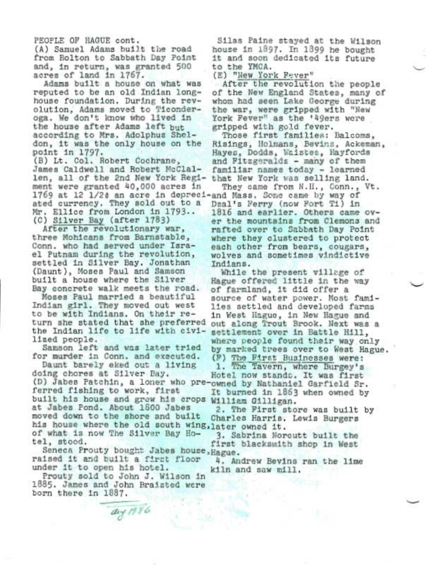PEOPLE OF HAGUE cont.

(A) Samuel Adams built the road from Bolton to Sabbath Day Point and, in return, was granted 500 acres of land in 1767.

Adams built a house on what was reputed to be an old Indian longhouse foundation. During the revolution, Adams moved to Ticonderoga. We don't know who lived in the house after Adams left but according to Mrs. Adolphus Sheldon, it was the only house on the point in 1797.

(B) Lt. Col. Robert Cochrane. James Caldwell and Robert McClallen, all of the 2nd New York Regiment were granted 40,000 acres in 1769 at 12 1/2t an acre in depreci-and Mass. Some came by way of ated currency. They sold out to a Mr. Ellice from London in 1793.. (C) Silver Bay (after 1783)

After the revolutionary war. three Mohicans from Barnstable, Conn. who had served under Israel Putnam during the revolution, settled in Silver Bay, Jonathan (Daunt), Moses Paul and Samson built a house where the Silver Bay concrete walk meets the road.

Moses Paul married a beautiful Indian girl. They moved out west to be with Indians. On their return she stated that she preferred the Indian life to life with civilized people.

Samson left and was later tried for murder in Conn. and executed.

Daunt barely eked out a living doing chores at Silver Bay. (D) Jabes Patchin, a loner who pre-owned by Nathaniel Garfield Sr. ferred fishing to work, first built his house and grew his crops William Gilligan. at Jabes Pond. About 1800 Jabes moved down to the shore and built his house where the old south wing, later owned it. of what is now The Silver Bay Hotel, stood.

Seneca Prouty bought Jabes house, Hague. raised it and built a first floor under it to open his hotel.

Prouty sold to John J. Wilson in 1885. James and John Braisted were born there in 1887.

aug 1986

Silas Paine stayed at the Wilson house in 1897. In 1899 he bought it and soon dedicated its future to the YMCA.

(E) "New York Fever"

After the revolution the people of the New England States, many of whom had seen Lake George during the war, were gripped with "New York Fever" as the '49ers were gripped with gold fever.

Those first families: Balcoms, Risings, Holmans, Bevins, Ackeman, Hayes, Dodds, Waistes, Hayfords and Fitzgeralds - many of them familiar names today - learned that New York was selling land.

They came from N.H., Conn., Vt. Deal's Ferry (now Fort Ti) in 1816 and earlier. Others came over the mountains from Clemons and rafted over to Sabbath Day Point where they clustered to protect each other from bears, cougars, wolves and sometimes vindictive Indians.

While the present village of Hague offered little in the way of farmland, it did offer a source of water power. Most families settled and developed farms in West Hague, in New Hague and out along Trout Brook. Next was a settlement over in Battle Hill, where people found their way only by marked trees over to West Hague. (F) The First Businesses were: 1. The Tavern, where Burgey's Hotel now stands. It was first It burned in 1863 when owned by

2. The First store was built by Charles Harris. Lewis Burgers

3. Sabrina Norcutt built the first blacksmith shop in West

4. Andrew Bevins ran the lime kiln and saw mill.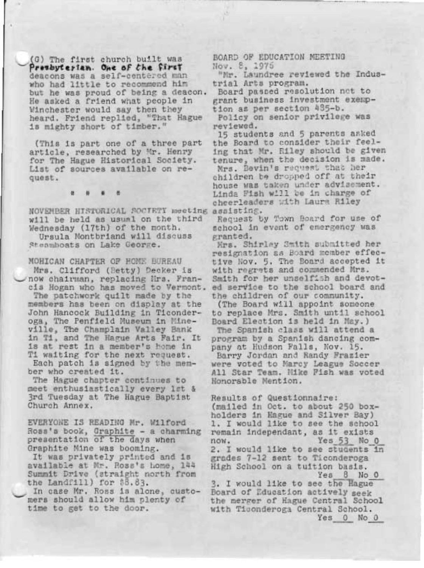(G) The first church built was Presbyterian. One of the first deacons was a self-centered man who had little to recommend him but he was proud of being a deacon. He asked a friend what people in Winchester would say then they heard. Friend replied, "That Hague is mighty short of timber."

(This is part one of a three part article, researched by Mr. Henry for The Hague Historical Society. List of sources available on request.

NOVEMBER HISTORICAL SOCTETY meeting assisting. will be held as usual on the third Wednesday (17th) of the month. Ursula Montbriand will discuss Steamboats on Lake George.

MOHICAN CHAPTER OF HOME BUREAU Mrs. Clifford (Betty) Decker is now chairman, replacing Mrs. Francis Hogan who has moved to Vermont. The patchwork quilt made by the members has been on display at the John Hancock Building in Ticonderoga, The Penfield Museum in Mineville, The Champlain Valley Bank in Ti, and The Hague Arts Fair. It is at rest in a member's home in Ti waiting for the next request. Each patch is signed by the member who created it.

The Hague chapter continues to meet enthusiastically every let & 3rd Tuesday at The Hague Baptist Church Annex.

EVERYONE IS READING Mr. Wilford Ross's book, Graphite - a charming presentation of the days when Graphite Mine was booming. It was privately printed and is available at Mr. Ross's home, 144 Summit Drive (straight north from the Landfill) for \$8.83.

In case Mr. Ross is alone, customers should allow him plenty of time to get to the door.

BOARD OF EDUCATION MEETING Nov. 8, 1975

"Nr. Laundree reviewed the Industrial Arts program.

Board passed resolution net to grant business investment exemption as per section 435-b.

Policy on senior privilege was reviewed.

15 students and 5 parents asked the Board to consider their feeling that Mr. Riley should be given tenure, when the decision is made. Mrs. Bevin's request that her children be dropped off at their house was taken under advisement. Linda Fish will be in charge of cheerleaders with Laura Riley

Request by Town Board for use of school in event of emergency was granted.

Mrs. Shirley Smith submitted her resignation as Board member effective Nov. 5. The Board accepted it with regrets and commended Mrs. Smith for her unselfish and devoted service to the school board and the children of our community.

(The Board will appoint someone to replace Mrs. Smith until school Board Election is held in May.)

The Spanish class will attend a program by a Spanish dancing company at Hudson Falls, Nov. 15. Barry Jordan and Randy Frazier were voted to Marcy League Soccer All Star Team. Mike Fish was voted Honorable Mention.

Results of Questionnaire: (mailed in Oct. to about 250 boxholders in Hague and Silver Bay) 1. I would like to see the school remain independant, as it exists Yes 53 No 0 now. 2. I would like to see students in grades 7-12 sent to Ticonderoga High School on a tuition basis. Yes 8 No 0

3. I would like to see the Hague Board of Education actively seek the merger of Hague Central School with Tisonderoga Central School. Yes 0 No 0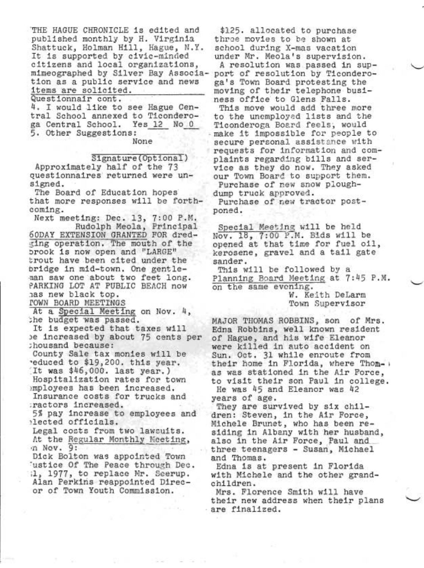THE HAGUE CHRONICLE is edited and published monthly by H. Virginia Shattuck, Holman Hill, Hague, N.Y. It is supported by civic-minded<br>citizens and local organizations, mimeographed by Silver Bay Association as a public service and news items are solicited. Questionnair cont.

4. I would like to see Hague Central School annexed to Ticonderoga Central School. Yes 12 No 0 5. Other Suggestions:

None

Signature (Optional)

Approximately half of the 73 questionnaires returned were unsigned.

The Board of Education hopes that more responses will be forthcoming.

Next meeting: Dec. 13, 7:00 P.M. Rudolph Meola, Principal 60DAY EXTENSION GRANTED FOR dredting operation. The mouth of the brook is now open and "LARGE" trout have been cited under the bridge in mid-town. One gentleman saw one about two feet long. PARKING LOT AT PUBLIC BEACH now has new black top.

**TOWN BOARD MEETINGS** 

At a Special Meeting on Nov. 4, the budget was passed.

It is expected that taxes will be increased by about 75 cents per chousand because:

County Sale tax monies will be reduced to \$19,200. this year. It was \$46,000. last year.) Hospitalization rates for town imployees has been increased.

Insurance costs for trucks and ractors increased.

5% pay increase to employees and ilected officials.

Legal costs from two lawsuits. At the Regular Monthly Meeting, n Nov. 9:

Dick Bolton was appointed Town 'ustice Of The Peace through Dec. il, 1977, to replace Mr. Seerup. Alan Perkins reappointed Direcor of Town Youth Commission.

\$125. allocated to purchase three movies to be shown at school during X-mas vacation under Mr. Meola's supervision.

A resolution was passed in support of resolution by Ticonderoga's Town Board protesting the moving of their telephone business office to Glens Falls.

This move would add three more to the unemployed lists and the Ticonderoga Board feels, would make it impossible for people to secure personal assistance with requests for information and complaints regarding bills and service as they do now. They asked our Town Board to support them. Purchase of new snow plough-

dump truck approved.

Purchase of new tractor postponed.

Special Meeting will be held Nov. 18, 7:00 P.M. Bids will be opened at that time for fuel oil, kerosene, gravel and a tail gate sander.

This will be followed by a Planning Board Meeting at 7:45 P.M. on the same evening.

W. Keith DeLarm Town Supervisor

MAJOR THOMAS ROBBINS, son of Mrs. Edna Robbins, well known resident of Hague, and his wife Eleanor were killed in auto accident on Sun. Oct. 31 while enroute from their home in Florida, where Thom- : as was stationed in the Air Force. to visit their son Paul in college. He was 45 and Eleanor was 42

years of age.

They are survived by six children: Steven, in the Air Force, Michele Brunet, who has been residing in Albany with her husband, also in the Air Force, Paul and three teenagers - Susan, Michael and Thomas.

Edna is at present in Florida with Michele and the other grandchildren.

Mrs. Florence Smith will have their new address when their plans are finalized.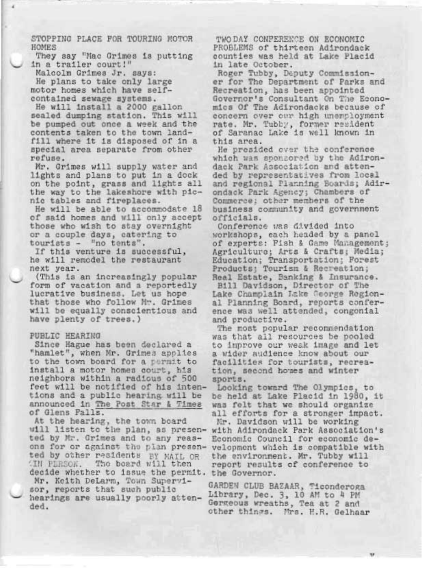STOPPING PLACE FOR TOURING MOTOR HOMES

They say "Mac Grimes is putting in a trailer court!"

Malcolm Grimes Jr. says:

He plans to take only large motor homes which have selfcontained sewage systems.

He will install a 2000 gallon sealed dumping station. This will be pumped out once a week and the contents taken to the town landfill where it is disposed of in a special area separate from other refuse.

Mr. Grimes will supply water and lights and plans to put in a dock on the point, grass and lights all the way to the lakeshore with picnic tables and fireplaces.

He will be able to accommodate 18 of said homes and will only accept those who wish to stay overnight or a couple days, catering to tourists - "no tents".

If this venture is successful, he will remodel the restaurant next year.

(This is an increasingly popular form of vacation and a reportedly lucrative business. Let us hope that those who follow Mr. Grimes will be equally conscientious and have plenty of trees.)

#### PUBLIC HEARING

Since Hague has been declared a "hamlet", when Mr. Grimes applies to the town board for a permit to install a motor homes court, his neighbors within a radious of 500 feet will be notified of his intentions and a public hearing will be announced in The Post Star & Times of Glens Falls.

At the hearing, the town board will listen to the plan, as presented by Mr. Grimes and to any reasons for or against the plan presented by other residents BY MAIL OR IN PURSON. The board will then decide whether to issue the permit. the Governor. Mr. Keith DeLarm, Town Supervisor, reports that such public hearings are usually poorly attended.

TWO DAY CONFERENCE ON ECONOMIC PROBLEMS of thirteen Adirondack counties was held at Lake Placid in late October.

Roger Tubby, Deputy Commissioner for The Department of Parks and Recreation, has been appointed Governor's Consultant On The Economics Of The Adirondacks because of concern over our high unemployment rate. Mr. Tubby, former resident<br>of Saranac Lake is well known in this area.

He presided over the conference which was sponzored by the Adirondack Park Association and attended by representatives from local and regional Planning Boards; Adirondack Park Agency; Chambers of Commerce; other members of the business community and government officials.

Conference was divided into workshops, each headed by a panol of experts: Fish & Game Management; Agriculture; Arts & Crafts; Media; Education; Transportation; Forest<br>Products; Tourism & Recreation; Real Estate, Banking & Insurance. Bill Davidson, Director of The Lake Champlain Lake George Regional Planning Board, reports conference was well attended, congonial and productive.

The most popular recommendation was that all resources be pooled to improve our weak image and let a wider audience know about our facilities for tourists, recreation, second homes and winter sports.

Looking toward The Olympics, to be held at Lake Placid in 1980, it was felt that we should organize all efforts for a stronger impact.

Mr. Davidson will be working with Adirondack Park Association's Economic Council for economic development which is compatible with the environment. Mr. Tubby will report results of conference to

GARDEN CLUB BAZAAR, Ticonderoga Library, Dec. 3, 10 AM to 4 PM Gergeous wreaths, Tea at 2 and other things. Mrs. H.R. Gelhaar